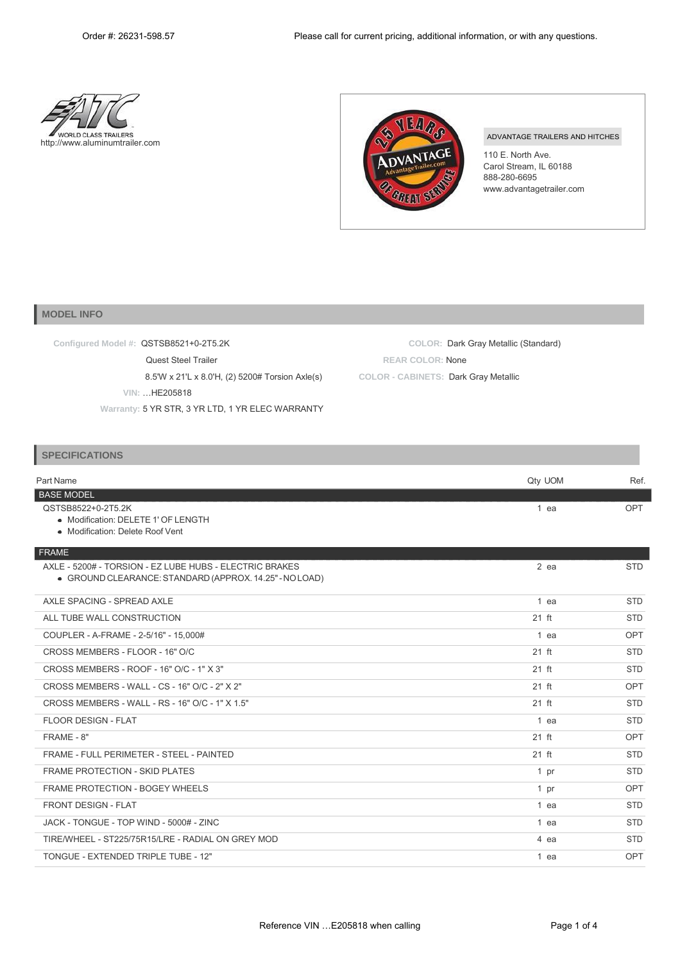



ADVANTAGE TRAILERS AND HITCHES

110 E. North Ave. Carol Stream, IL 60188 888-280-6695 [www.advantagetrailer.com](http://www.advantagetrailer.com/)

## **MODEL INFO**

| Configured Model #: QSTSB8521+0-2T5.2K           | COLOR: Dark Gray Metallic (Standard) |
|--------------------------------------------------|--------------------------------------|
| <b>Quest Steel Trailer</b>                       | <b>REAR COLOR: None</b>              |
| 8.5'W x 21'L x 8.0'H, (2) 5200# Torsion Axle(s)  | COLOR - CABINETS: Dark Gray Metallic |
| VIN: HE205818                                    |                                      |
| Warranty: 5 YR STR, 3 YR LTD, 1 YR ELEC WARRANTY |                                      |

## **SPECIFICATIONS**

| Part Name                                               | Qty UOM | Ref.       |
|---------------------------------------------------------|---------|------------|
| <b>BASE MODEL</b>                                       |         |            |
| QSTSB8522+0-2T5.2K                                      | $1$ ea  | <b>OPT</b> |
| • Modification: DELETE 1' OF LENGTH                     |         |            |
| • Modification: Delete Roof Vent                        |         |            |
| FRAME                                                   |         |            |
| AXLE - 5200# - TORSION - EZ LUBE HUBS - ELECTRIC BRAKES | $2$ ea  | <b>STD</b> |
| · GROUND CLEARANCE: STANDARD (APPROX. 14.25" - NO LOAD) |         |            |
| AXLE SPACING - SPREAD AXLE                              | 1 ea    | <b>STD</b> |
| ALL TUBE WALL CONSTRUCTION                              | $21$ ft | <b>STD</b> |
| COUPLER - A-FRAME - 2-5/16" - 15,000#                   | 1 ea    | <b>OPT</b> |
| CROSS MEMBERS - FLOOR - 16" O/C                         | $21$ ft | <b>STD</b> |
| CROSS MEMBERS - ROOF - 16" O/C - 1" X 3"                | $21$ ft | <b>STD</b> |
| CROSS MEMBERS - WALL - CS - 16" O/C - 2" X 2"           | $21$ ft | <b>OPT</b> |
| CROSS MEMBERS - WALL - RS - 16" O/C - 1" X 1.5"         | $21$ ft | <b>STD</b> |
| <b>FLOOR DESIGN - FLAT</b>                              | 1 ea    | <b>STD</b> |
| FRAME - 8"                                              | $21$ ft | <b>OPT</b> |
| FRAME - FULL PERIMETER - STEEL - PAINTED                | $21$ ft | <b>STD</b> |
| <b>FRAME PROTECTION - SKID PLATES</b>                   | 1 pr    | <b>STD</b> |
| <b>FRAME PROTECTION - BOGEY WHEELS</b>                  | 1 pr    | OPT        |
| <b>FRONT DESIGN - FLAT</b>                              | 1 ea    | <b>STD</b> |
| JACK - TONGUE - TOP WIND - 5000# - ZINC                 | 1 ea    | <b>STD</b> |
| TIRE/WHEEL - ST225/75R15/LRE - RADIAL ON GREY MOD       | 4 ea    | <b>STD</b> |
| TONGUE - EXTENDED TRIPLE TUBE - 12"                     | 1 ea    | <b>OPT</b> |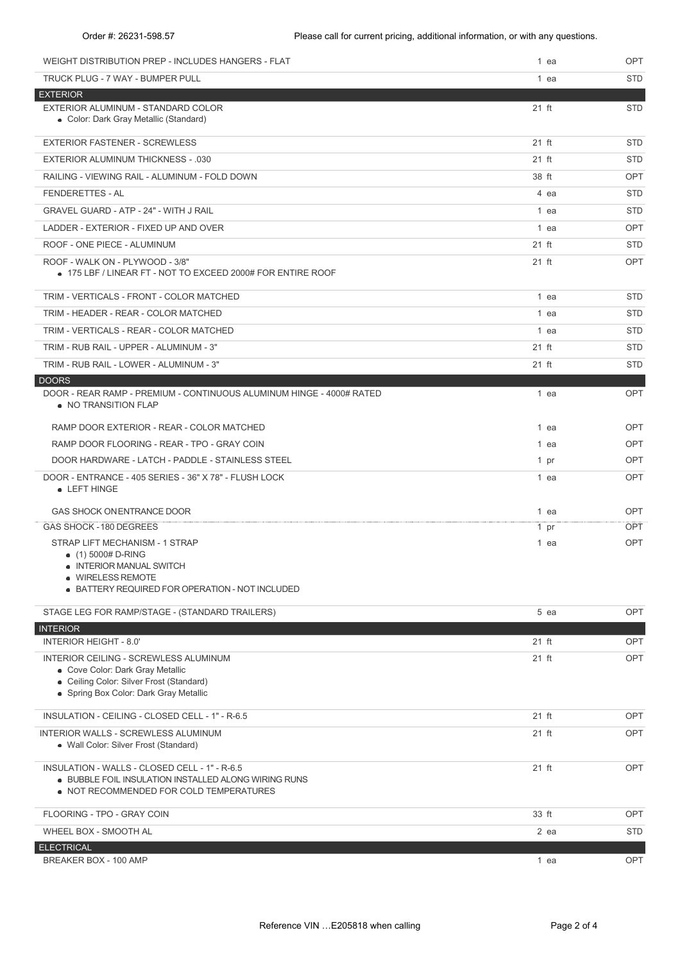| WEIGHT DISTRIBUTION PREP - INCLUDES HANGERS - FLAT                                                                                                               | 1 ea            | OPT        |
|------------------------------------------------------------------------------------------------------------------------------------------------------------------|-----------------|------------|
| TRUCK PLUG - 7 WAY - BUMPER PULL                                                                                                                                 | 1 ea            | <b>STD</b> |
| <b>EXTERIOR</b>                                                                                                                                                  |                 |            |
| EXTERIOR ALUMINUM - STANDARD COLOR<br>• Color: Dark Gray Metallic (Standard)                                                                                     | 21 ft           | <b>STD</b> |
| <b>EXTERIOR FASTENER - SCREWLESS</b>                                                                                                                             | $21$ ft         | <b>STD</b> |
| <b>EXTERIOR ALUMINUM THICKNESS - .030</b>                                                                                                                        | 21 ft           | <b>STD</b> |
| RAILING - VIEWING RAIL - ALUMINUM - FOLD DOWN                                                                                                                    | 38 ft           | <b>OPT</b> |
| FENDERETTES - AL                                                                                                                                                 | 4 ea            | <b>STD</b> |
| <b>GRAVEL GUARD - ATP - 24" - WITH J RAIL</b>                                                                                                                    | 1 ea            | <b>STD</b> |
| LADDER - EXTERIOR - FIXED UP AND OVER                                                                                                                            | 1 ea            | <b>OPT</b> |
| ROOF - ONE PIECE - ALUMINUM                                                                                                                                      | 21 ft           | <b>STD</b> |
| ROOF - WALK ON - PLYWOOD - 3/8"<br>$\bullet$ 175 LBF / LINEAR FT - NOT TO EXCEED 2000# FOR ENTIRE ROOF                                                           | 21 ft           | OPT        |
| TRIM - VERTICALS - FRONT - COLOR MATCHED                                                                                                                         | 1 ea            | <b>STD</b> |
| TRIM - HEADER - REAR - COLOR MATCHED                                                                                                                             | $1$ ea          | <b>STD</b> |
| TRIM - VERTICALS - REAR - COLOR MATCHED                                                                                                                          | 1 ea            | <b>STD</b> |
| TRIM - RUB RAIL - UPPER - ALUMINUM - 3"                                                                                                                          | 21 ft           | <b>STD</b> |
| TRIM - RUB RAIL - LOWER - ALUMINUM - 3"                                                                                                                          | 21 ft           | <b>STD</b> |
| <b>DOORS</b><br>DOOR - REAR RAMP - PREMIUM - CONTINUOUS ALUMINUM HINGE - 4000# RATED<br>• NO TRANSITION FLAP                                                     | 1 ea            | OPT        |
| RAMP DOOR EXTERIOR - REAR - COLOR MATCHED                                                                                                                        | 1 ea            | OPT        |
| RAMP DOOR FLOORING - REAR - TPO - GRAY COIN                                                                                                                      | 1 ea            | <b>OPT</b> |
| DOOR HARDWARE - LATCH - PADDLE - STAINLESS STEEL                                                                                                                 | 1 pr            | OPT        |
| DOOR - ENTRANCE - 405 SERIES - 36" X 78" - FLUSH LOCK<br>• LEFT HINGE                                                                                            | 1 ea            | OPT        |
| <b>GAS SHOCK ON ENTRANCE DOOR</b>                                                                                                                                | 1 ea            | OPT        |
| GAS SHOCK - 180 DEGREES                                                                                                                                          | 1 <sub>pr</sub> | <b>OPT</b> |
| STRAP LIFT MECHANISM - 1 STRAP<br>$(1)$ 5000# D-RING<br>• INTERIOR MANUAL SWITCH<br>• WIRELESS REMOTE<br>$\bullet$ BATTERY REQUIRED FOR OPERATION - NOT INCLUDED | 1 ea            | <b>OPT</b> |
| STAGE LEG FOR RAMP/STAGE - (STANDARD TRAILERS)                                                                                                                   | 5 ea            | OPT        |
| <b>INTERIOR</b>                                                                                                                                                  |                 |            |
| <b>INTERIOR HEIGHT - 8.0'</b>                                                                                                                                    | 21 ft           | OPT        |
| INTERIOR CEILING - SCREWLESS ALUMINUM<br>• Cove Color: Dark Gray Metallic                                                                                        | 21 ft           | OPT        |
| • Ceiling Color: Silver Frost (Standard)                                                                                                                         |                 |            |
| • Spring Box Color: Dark Gray Metallic                                                                                                                           |                 |            |
| INSULATION - CEILING - CLOSED CELL - 1" - R-6.5                                                                                                                  | 21 ft           | OPT        |
| <b>INTERIOR WALLS - SCREWLESS ALUMINUM</b><br>• Wall Color: Silver Frost (Standard)                                                                              | 21 ft           | OPT        |
| INSULATION - WALLS - CLOSED CELL - 1" - R-6.5<br>. BUBBLE FOIL INSULATION INSTALLED ALONG WIRING RUNS<br>• NOT RECOMMENDED FOR COLD TEMPERATURES                 | 21 ft           | OPT        |
| FLOORING - TPO - GRAY COIN                                                                                                                                       | 33 ft           | OPT        |
| WHEEL BOX - SMOOTH AL                                                                                                                                            | 2 ea            | <b>STD</b> |
| <b>ELECTRICAL</b>                                                                                                                                                |                 |            |
| BREAKER BOX - 100 AMP                                                                                                                                            | 1 ea            | OPT        |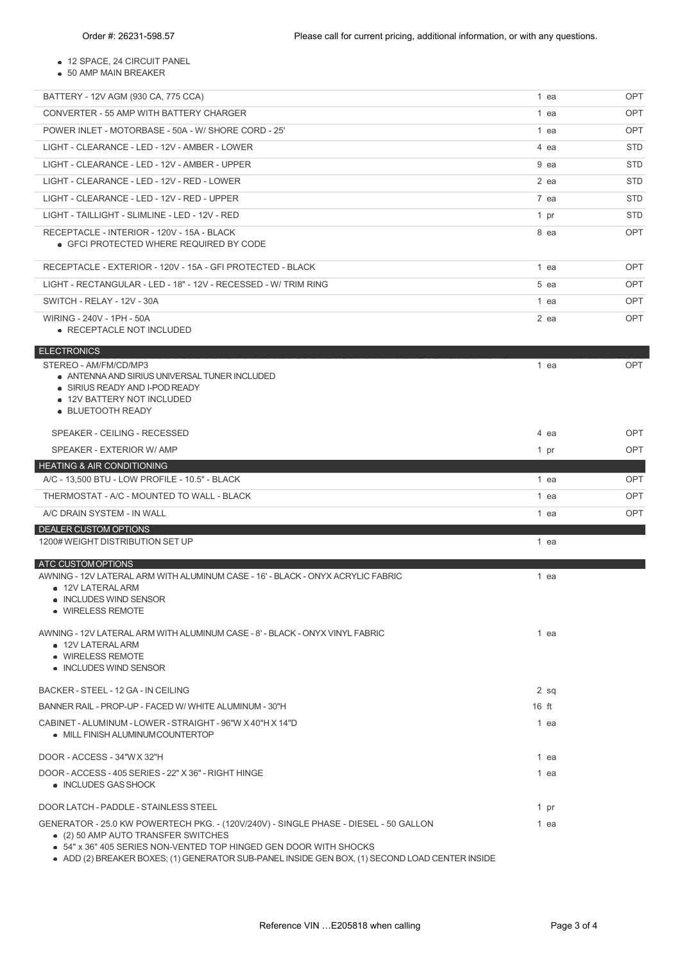12 SPACE, 24 CIRCUIT PANEL

50 AMP MAIN BREAKER

| BATTERY - 12V AGM (930 CA, 775 CCA)                                                                                                                         | 1 ea    | <b>OPT</b> |
|-------------------------------------------------------------------------------------------------------------------------------------------------------------|---------|------------|
| CONVERTER - 55 AMP WITH BATTERY CHARGER                                                                                                                     | 1 ea    | OPT        |
| POWER INLET - MOTORBASE - 50A - W/ SHORE CORD - 25'                                                                                                         | 1 ea    | OPT        |
| LIGHT - CLEARANCE - LED - 12V - AMBER - LOWER                                                                                                               | 4 ea    | STD        |
| LIGHT - CLEARANCE - LED - 12V - AMBER - UPPER                                                                                                               | 9 ea    | <b>STD</b> |
| LIGHT - CLEARANCE - LED - 12V - RED - LOWER                                                                                                                 | 2 ea    | STD.       |
| LIGHT - CLEARANCE - LED - 12V - RED - UPPER                                                                                                                 | 7 ea    | STD.       |
| LIGHT - TAILLIGHT - SLIMLINE - LED - 12V - RED                                                                                                              | 1 pr    | STD        |
| RECEPTACLE - INTERIOR - 120V - 15A - BLACK<br>• GFCI PROTECTED WHERE REQUIRED BY CODE                                                                       | 8 ea    | <b>OPT</b> |
| RECEPTACLE - EXTERIOR - 120V - 15A - GFI PROTECTED - BLACK                                                                                                  | 1 ea    | OPT        |
| LIGHT - RECTANGULAR - LED - 18" - 12V - RECESSED - W/ TRIM RING                                                                                             | 5 ea    | OPT        |
| SWITCH - RELAY - 12V - 30A                                                                                                                                  | 1 ea    | <b>OPT</b> |
| WIRING - 240V - 1PH - 50A<br>• RECEPTACLE NOT INCLUDED                                                                                                      | $2$ ea  | <b>OPT</b> |
| <b>ELECTRONICS</b>                                                                                                                                          |         |            |
| STEREO - AM/FM/CD/MP3<br>• ANTENNA AND SIRIUS UNIVERSAL TUNER INCLUDED<br>• SIRIUS READY AND I-POD READY<br>• 12V BATTERY NOT INCLUDED<br>• BLUETOOTH READY | 1 ea    | <b>OPT</b> |
| SPEAKER - CEILING - RECESSED                                                                                                                                | 4 ea    | <b>OPT</b> |
| SPEAKER - EXTERIOR W/ AMP                                                                                                                                   | 1 pr    | <b>OPT</b> |
| <b>HEATING &amp; AIR CONDITIONING</b>                                                                                                                       |         |            |
| A/C - 13,500 BTU - LOW PROFILE - 10.5" - BLACK                                                                                                              | 1 ea    | <b>OPT</b> |
| THERMOSTAT - A/C - MOUNTED TO WALL - BLACK                                                                                                                  | 1 ea    | <b>OPT</b> |
| A/C DRAIN SYSTEM - IN WALL                                                                                                                                  | 1 ea    | <b>OPT</b> |
| <b>DEALER CUSTOM OPTIONS</b><br>1200#WEIGHT DISTRIBUTION SET UP                                                                                             | 1 ea    |            |
| ATC CUSTOM OPTIONS                                                                                                                                          |         |            |
| AWNING - 12V LATERAL ARM WITH ALUMINUM CASE - 16' - BLACK - ONYX ACRYLIC FABRIC<br>• 12V LATERAL ARM<br>• INCLUDES WIND SENSOR<br>• WIRELESS REMOTE         | 1 ea    |            |
| AWNING - 12V LATERAL ARM WITH ALUMINUM CASE - 8' - BLACK - ONYX VINYL FABRIC<br>• 12V LATERAL ARM<br>• WIRELESS REMOTE<br>• INCLUDES WIND SENSOR            | 1 ea    |            |
| BACKER - STEEL - 12 GA - IN CEILING                                                                                                                         | $2$ sq  |            |
| BANNER RAIL - PROP-UP - FACED W/ WHITE ALUMINUM - 30"H                                                                                                      | $16$ ft |            |
| CABINET - ALUMINUM - LOWER - STRAIGHT - 96"W X 40"H X 14"D<br>• MILL FINISH ALUMINUM COUNTERTOP                                                             | 1 ea    |            |
| DOOR - ACCESS - 34"WX 32"H                                                                                                                                  | 1 ea    |            |
| DOOR - ACCESS - 405 SERIES - 22" X 36" - RIGHT HINGE<br>• INCLUDES GAS SHOCK                                                                                | 1 ea    |            |
| DOOR LATCH - PADDLE - STAINLESS STEEL                                                                                                                       | 1 pr    |            |
| GENERATOR - 25.0 KW POWERTECH PKG. - (120V/240V) - SINGLE PHASE - DIESEL - 50 GALLON                                                                        | 1 ea    |            |
| • (2) 50 AMP AUTO TRANSFER SWITCHES<br>• 54" x 36" 405 SERIES NON-VENTED TOP HINGED GEN DOOR WITH SHOCKS                                                    |         |            |

ADD (2) BREAKER BOXES; (1) GENERATOR SUB-PANEL INSIDE GEN BOX, (1) SECOND LOAD CENTER INSIDE